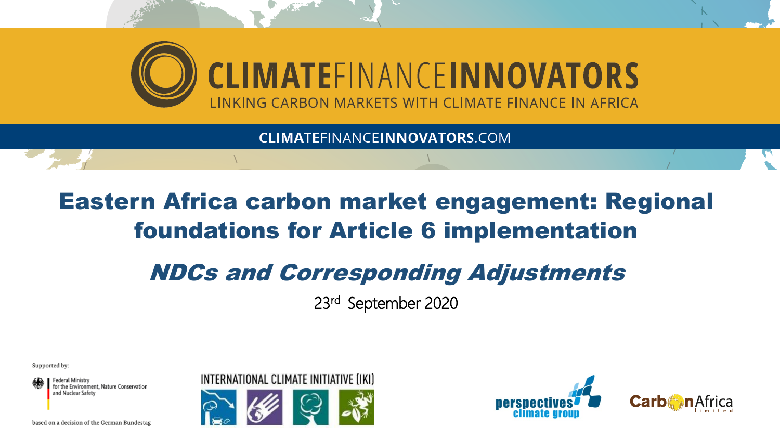

**CLIMATEFINANCEINNOVATORS.COM** 

# Eastern Africa carbon market engagement: Regional foundations for Article 6 implementation

# NDCs and Corresponding Adjustments

23rd September 2020

Supported by:

Federal Ministry for the Environment. Nature Conservation and Nuclear Safety



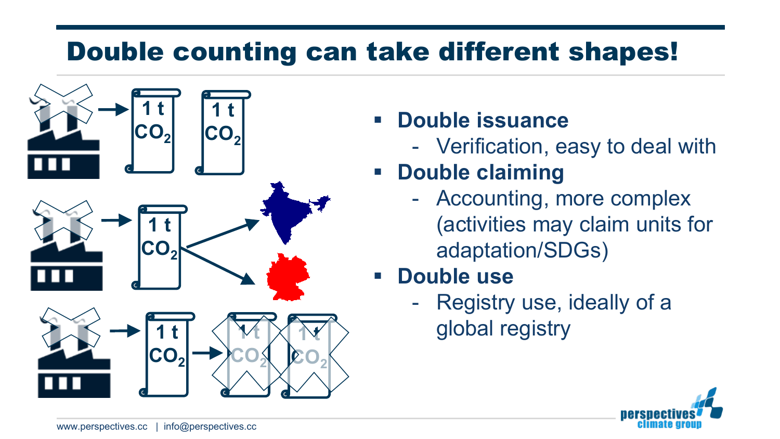# Double counting can take different shapes!



## **Double issuance**

- Verification, easy to deal with

# **POUDLE Claiming**

- Accounting, more complex (activities may claim units for adaptation/SDGs)

### **Double use**

- Registry use, ideally of a global registry

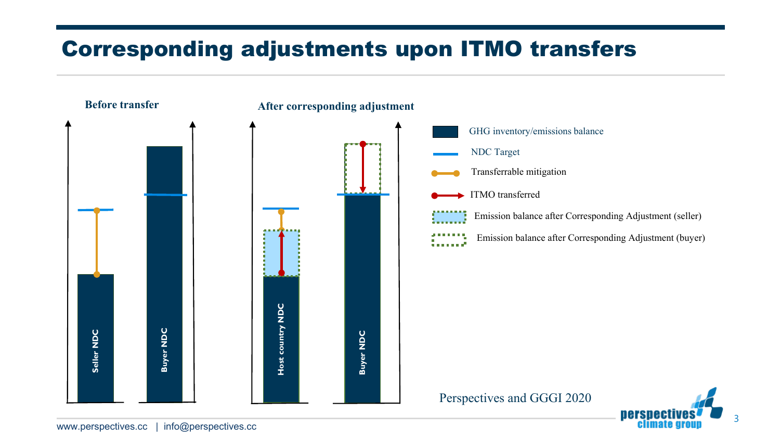## Corresponding adjustments upon ITMO transfers

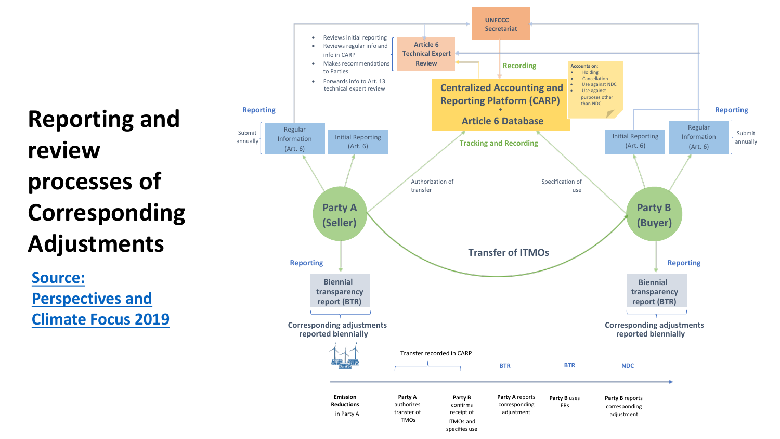**Reporting and review processes of Corresponding Adjustments**

**Source: Perspectives and [Climate Focus 2019](https://www.perspectives.cc/fileadmin/Publications/Climate_Focus_Perspectives_Corresponding_Adjustments_Art_6.pdf)**

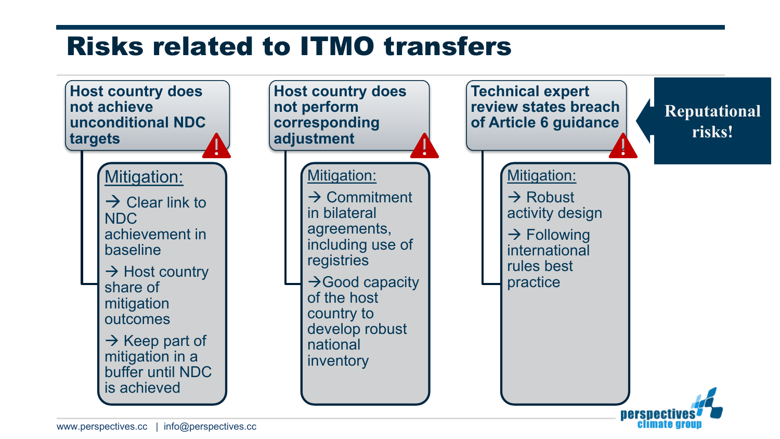# Risks related to ITMO transfers

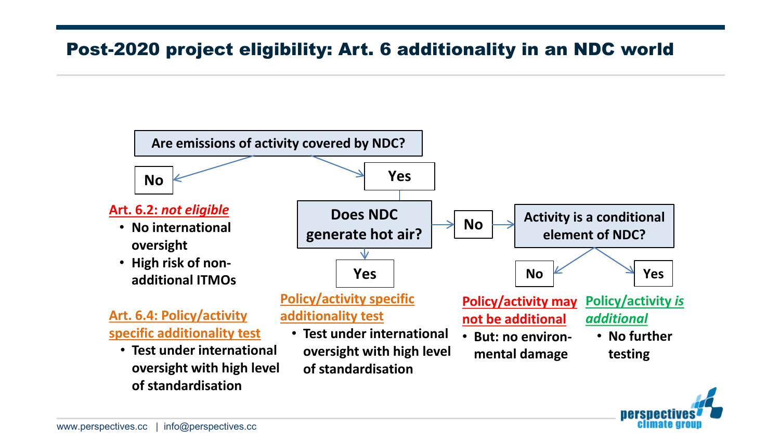#### Post-2020 project eligibility: Art. 6 additionality in an NDC world



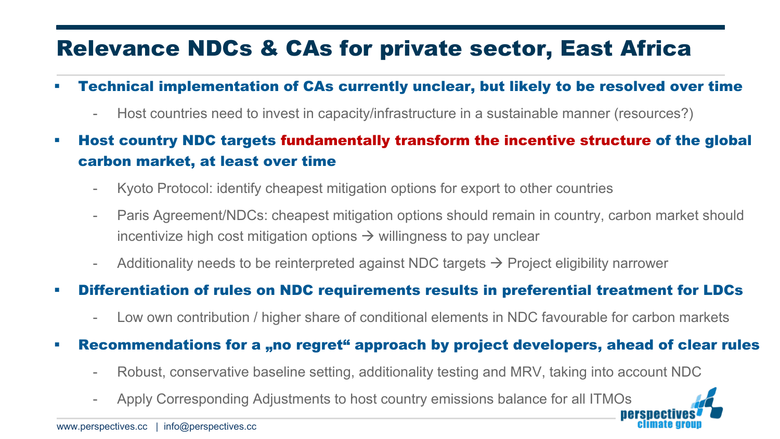## Relevance NDCs & CAs for private sector, East Africa

- Technical implementation of CAs currently unclear, but likely to be resolved over time
	- Host countries need to invest in capacity/infrastructure in a sustainable manner (resources?)
- Host country NDC targets fundamentally transform the incentive structure of the global carbon market, at least over time
	- Kyoto Protocol: identify cheapest mitigation options for export to other countries
	- Paris Agreement/NDCs: cheapest mitigation options should remain in country, carbon market should incentivize high cost mitigation options  $\rightarrow$  willingness to pay unclear
	- Additionality needs to be reinterpreted against NDC targets  $\rightarrow$  Project eligibility narrower

#### Differentiation of rules on NDC requirements results in preferential treatment for LDCs

- Low own contribution / higher share of conditional elements in NDC favourable for carbon markets
- Recommendations for a "no regret" approach by project developers, ahead of clear rules
	- Robust, conservative baseline setting, additionality testing and MRV, taking into account NDC
	- Apply Corresponding Adjustments to host country emissions balance for all ITMOs